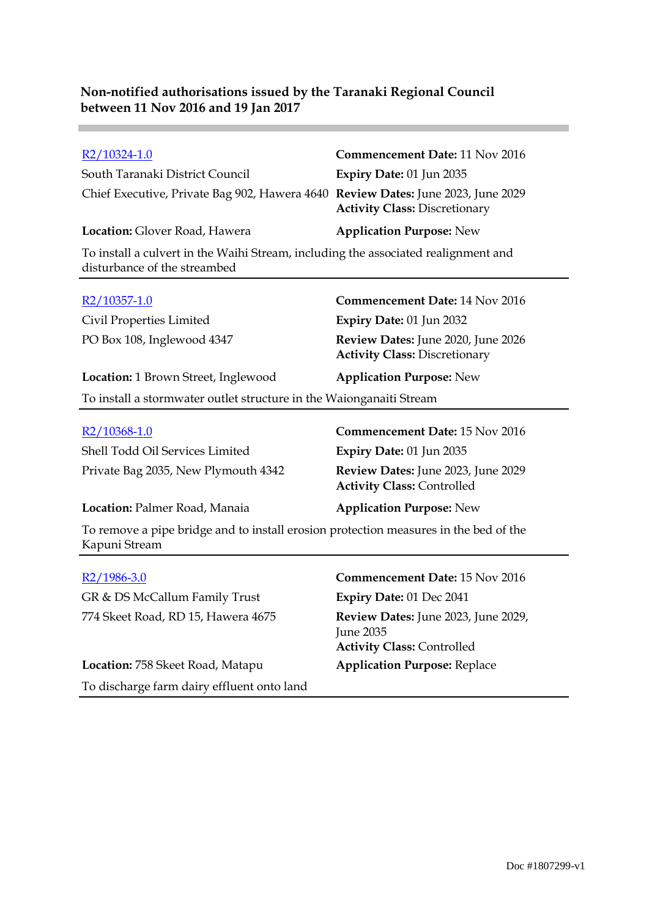**Contract** 

| R2/10324-1.0                                                                                                       | <b>Commencement Date: 11 Nov 2016</b>                                      |  |
|--------------------------------------------------------------------------------------------------------------------|----------------------------------------------------------------------------|--|
| South Taranaki District Council                                                                                    | Expiry Date: 01 Jun 2035                                                   |  |
| Chief Executive, Private Bag 902, Hawera 4640 Review Dates: June 2023, June 2029                                   | <b>Activity Class: Discretionary</b>                                       |  |
| Location: Glover Road, Hawera                                                                                      | <b>Application Purpose: New</b>                                            |  |
| To install a culvert in the Waihi Stream, including the associated realignment and<br>disturbance of the streambed |                                                                            |  |
| R2/10357-1.0                                                                                                       | <b>Commencement Date: 14 Nov 2016</b>                                      |  |
| Civil Properties Limited                                                                                           | Expiry Date: 01 Jun 2032                                                   |  |
| PO Box 108, Inglewood 4347                                                                                         | Review Dates: June 2020, June 2026<br><b>Activity Class: Discretionary</b> |  |
| <b>Location:</b> 1 Brown Street, Inglewood                                                                         | <b>Application Purpose: New</b>                                            |  |
| To install a stormwater outlet structure in the Waionganaiti Stream                                                |                                                                            |  |
|                                                                                                                    |                                                                            |  |
| R <sub>2</sub> /10368-1.0                                                                                          | <b>Commencement Date: 15 Nov 2016</b>                                      |  |
| Shell Todd Oil Services Limited                                                                                    | Expiry Date: 01 Jun 2035                                                   |  |
| Private Bag 2035, New Plymouth 4342                                                                                | Review Dates: June 2023, June 2029<br><b>Activity Class: Controlled</b>    |  |
| Location: Palmer Road, Manaia                                                                                      | <b>Application Purpose: New</b>                                            |  |
| To remove a pipe bridge and to install erosion protection measures in the bed of the<br>Kapuni Stream              |                                                                            |  |
| R2/1986-3.0                                                                                                        | Commencement Date: 15 Nov 2016                                             |  |
|                                                                                                                    |                                                                            |  |
| GR & DS McCallum Family Trust                                                                                      | <b>Expiry Date: 01 Dec 2041</b>                                            |  |
| 774 Skeet Road, RD 15, Hawera 4675                                                                                 | Review Dates: June 2023, June 2029,<br><b>June 2035</b>                    |  |
|                                                                                                                    | <b>Activity Class: Controlled</b>                                          |  |
| Location: 758 Skeet Road, Matapu                                                                                   | <b>Application Purpose: Replace</b>                                        |  |

To discharge farm dairy effluent onto land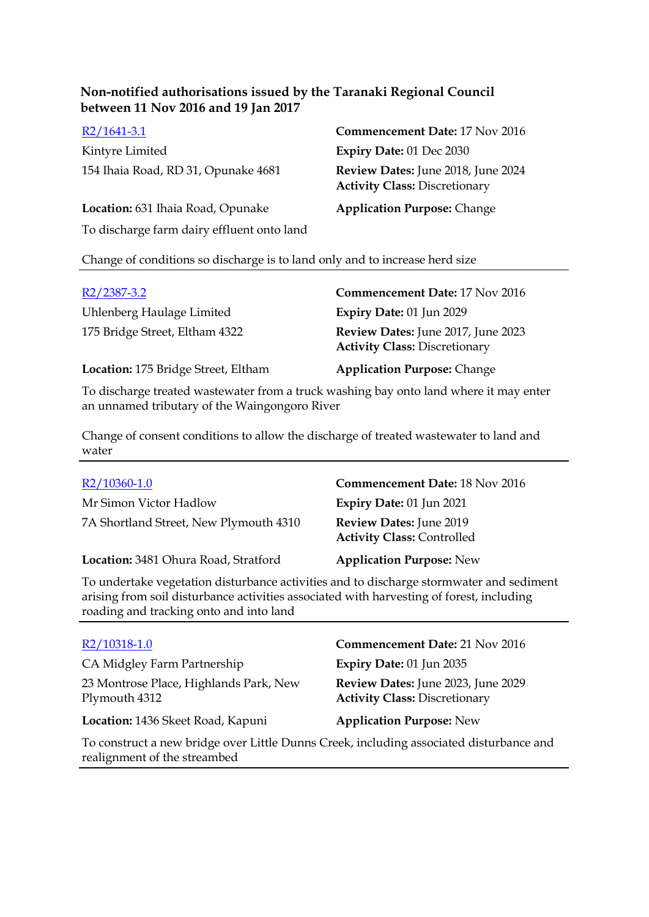Kintyre Limited **Expiry Date:** 01 Dec 2030 154 Ihaia Road, RD 31, Opunake 4681 **Review Dates:** June 2018, June 2024

R2/1641-3.1 **Commencement Date:** 17 Nov 2016 **Activity Class:** Discretionary

**Location:** 631 Ihaia Road, Opunake **Application Purpose:** Change

To discharge farm dairy effluent onto land

Change of conditions so discharge is to land only and to increase herd size

| $R2/2387-3.2$                       | <b>Commencement Date: 17 Nov 2016</b>                                      |
|-------------------------------------|----------------------------------------------------------------------------|
| Uhlenberg Haulage Limited           | Expiry Date: 01 Jun 2029                                                   |
| 175 Bridge Street, Eltham 4322      | Review Dates: June 2017, June 2023<br><b>Activity Class: Discretionary</b> |
| Location: 175 Bridge Street, Eltham | <b>Application Purpose: Change</b>                                         |

To discharge treated wastewater from a truck washing bay onto land where it may enter an unnamed tributary of the Waingongoro River

Change of consent conditions to allow the discharge of treated wastewater to land and water

| $R2/10360-1.0$                         | <b>Commencement Date: 18 Nov 2016</b>                        |
|----------------------------------------|--------------------------------------------------------------|
| Mr Simon Victor Hadlow                 | <b>Expiry Date: 01 Jun 2021</b>                              |
| 7A Shortland Street, New Plymouth 4310 | Review Dates: June 2019<br><b>Activity Class: Controlled</b> |
| Location: 3481 Ohura Road, Stratford   | <b>Application Purpose: New</b>                              |
|                                        |                                                              |

To undertake vegetation disturbance activities and to discharge stormwater and sediment arising from soil disturbance activities associated with harvesting of forest, including roading and tracking onto and into land

| R2/10318-1.0                                                                                                            | <b>Commencement Date: 21 Nov 2016</b>                                      |
|-------------------------------------------------------------------------------------------------------------------------|----------------------------------------------------------------------------|
| CA Midgley Farm Partnership                                                                                             | Expiry Date: 01 Jun 2035                                                   |
| 23 Montrose Place, Highlands Park, New<br>Plymouth 4312                                                                 | Review Dates: June 2023, June 2029<br><b>Activity Class: Discretionary</b> |
| Location: 1436 Skeet Road, Kapuni                                                                                       | <b>Application Purpose: New</b>                                            |
| To construct a new bridge over Little Dunns Creek, including associated disturbance and<br>realignment of the streambed |                                                                            |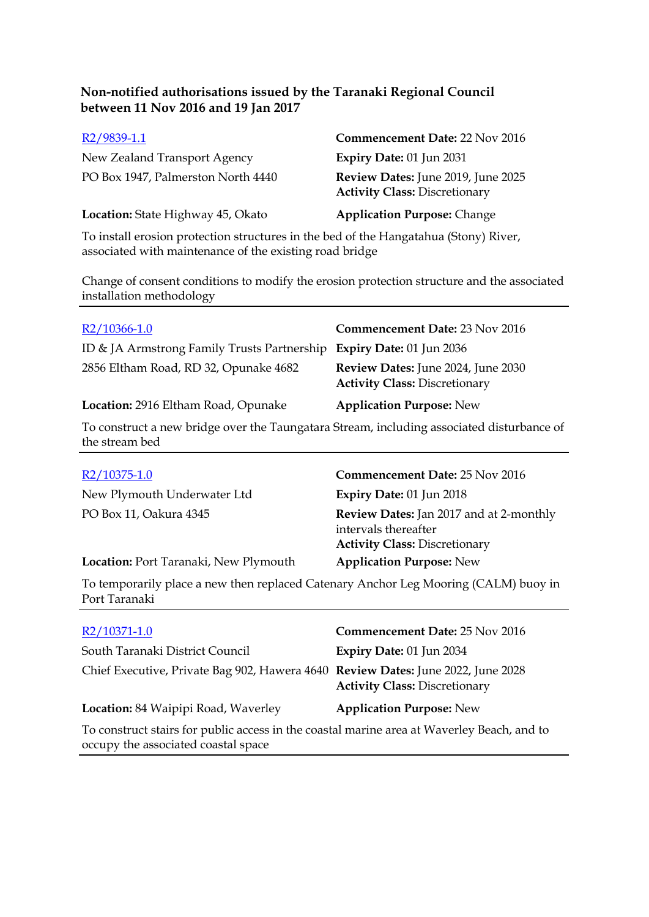| R <sub>2</sub> /9839-1.1           | <b>Commencement Date: 22 Nov 2016</b>                                      |
|------------------------------------|----------------------------------------------------------------------------|
| New Zealand Transport Agency       | Expiry Date: 01 Jun 2031                                                   |
| PO Box 1947, Palmerston North 4440 | Review Dates: June 2019, June 2025<br><b>Activity Class: Discretionary</b> |
| Location: State Highway 45, Okato  | <b>Application Purpose: Change</b>                                         |

To install erosion protection structures in the bed of the Hangatahua (Stony) River, associated with maintenance of the existing road bridge

Change of consent conditions to modify the erosion protection structure and the associated installation methodology

| $R2/10366-1.0$                                                                                              | <b>Commencement Date: 23 Nov 2016</b>                                                                          |
|-------------------------------------------------------------------------------------------------------------|----------------------------------------------------------------------------------------------------------------|
| ID & JA Armstrong Family Trusts Partnership                                                                 | Expiry Date: 01 Jun 2036                                                                                       |
| 2856 Eltham Road, RD 32, Opunake 4682                                                                       | Review Dates: June 2024, June 2030<br><b>Activity Class: Discretionary</b>                                     |
| Location: 2916 Eltham Road, Opunake                                                                         | <b>Application Purpose: New</b>                                                                                |
| To construct a new bridge over the Taungatara Stream, including associated disturbance of<br>the stream bed |                                                                                                                |
|                                                                                                             |                                                                                                                |
| R <sub>2</sub> /10375-1.0                                                                                   | <b>Commencement Date: 25 Nov 2016</b>                                                                          |
| New Plymouth Underwater Ltd                                                                                 | <b>Expiry Date: 01 Jun 2018</b>                                                                                |
| PO Box 11, Oakura 4345                                                                                      | <b>Review Dates:</b> Jan 2017 and at 2-monthly<br>intervals thereafter<br><b>Activity Class: Discretionary</b> |
| <b>Location: Port Taranaki, New Plymouth</b>                                                                | <b>Application Purpose: New</b>                                                                                |
| To temporarily place a new then replaced Catenary Anchor Leg Mooring (CALM) buoy in<br>Port Taranaki        |                                                                                                                |
| R2/10371-1.0                                                                                                | <b>Commencement Date: 25 Nov 2016</b>                                                                          |
| $\mathbf{A}$ and $\mathbf{A}$ and $\mathbf{A}$ and $\mathbf{A}$                                             |                                                                                                                |

| South Taranaki District Council                                                                                                                                                                             | <b>Expiry Date: 01 Jun 2034</b>      |
|-------------------------------------------------------------------------------------------------------------------------------------------------------------------------------------------------------------|--------------------------------------|
| Chief Executive, Private Bag 902, Hawera 4640 Review Dates: June 2022, June 2028                                                                                                                            | <b>Activity Class: Discretionary</b> |
| Location: 84 Waipipi Road, Waverley                                                                                                                                                                         | <b>Application Purpose: New</b>      |
| To construct stairs for public access in the coastal marine area at Waverley Beach, and to<br>the contract of the component of the final contract of the component of the component of the component of the |                                      |

occupy the associated coastal space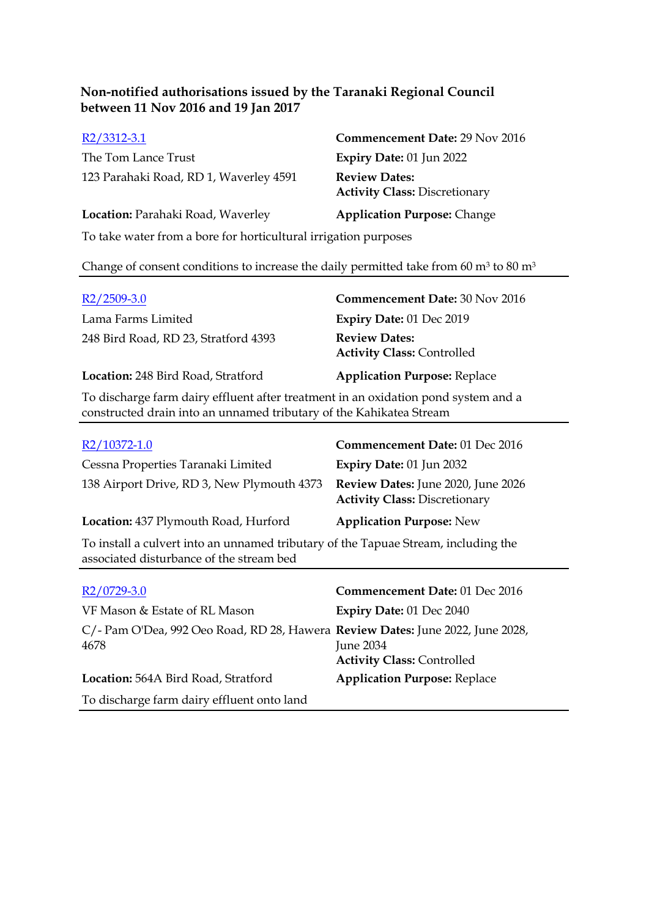| $R2/3312-3.1$                                                   | <b>Commencement Date: 29 Nov 2016</b>                        |
|-----------------------------------------------------------------|--------------------------------------------------------------|
| The Tom Lance Trust                                             | <b>Expiry Date: 01 Jun 2022</b>                              |
| 123 Parahaki Road, RD 1, Waverley 4591                          | <b>Review Dates:</b><br><b>Activity Class: Discretionary</b> |
| Location: Parahaki Road, Waverley                               | <b>Application Purpose: Change</b>                           |
| To take water from a bore for horticultural irrigation purposes |                                                              |

#### Change of consent conditions to increase the daily permitted take from 60  $m^3$  to 80  $m^3$

| $R2/2509-3.0$                                                                                                   | <b>Commencement Date: 30 Nov 2016</b>                     |
|-----------------------------------------------------------------------------------------------------------------|-----------------------------------------------------------|
| Lama Farms Limited                                                                                              | <b>Expiry Date: 01 Dec 2019</b>                           |
| 248 Bird Road, RD 23, Stratford 4393                                                                            | <b>Review Dates:</b><br><b>Activity Class: Controlled</b> |
| Location: 248 Bird Road, Stratford                                                                              | <b>Application Purpose: Replace</b>                       |
| The distribution of computations of fluorest of the three through in the contribution of constitutions on a dis |                                                           |

To discharge farm dairy effluent after treatment in an oxidation pond system and a constructed drain into an unnamed tributary of the Kahikatea Stream

| $R2/10372-1.0$                             | <b>Commencement Date: 01 Dec 2016</b>                                      |
|--------------------------------------------|----------------------------------------------------------------------------|
| Cessna Properties Taranaki Limited         | Expiry Date: $01$ Jun 2032                                                 |
| 138 Airport Drive, RD 3, New Plymouth 4373 | Review Dates: June 2020, June 2026<br><b>Activity Class: Discretionary</b> |
| Location: 437 Plymouth Road, Hurford       | <b>Application Purpose: New</b>                                            |

To install a culvert into an unnamed tributary of the Tapuae Stream, including the associated disturbance of the stream bed

| $R2/0729-3.0$                                                                          | Commencement Date: 01 Dec 2016                 |
|----------------------------------------------------------------------------------------|------------------------------------------------|
| VF Mason & Estate of RL Mason                                                          | Expiry Date: 01 Dec 2040                       |
| C/- Pam O'Dea, 992 Oeo Road, RD 28, Hawera Review Dates: June 2022, June 2028,<br>4678 | June 2034<br><b>Activity Class: Controlled</b> |
| Location: 564A Bird Road, Stratford                                                    | <b>Application Purpose: Replace</b>            |
| To discharge farm dairy effluent onto land                                             |                                                |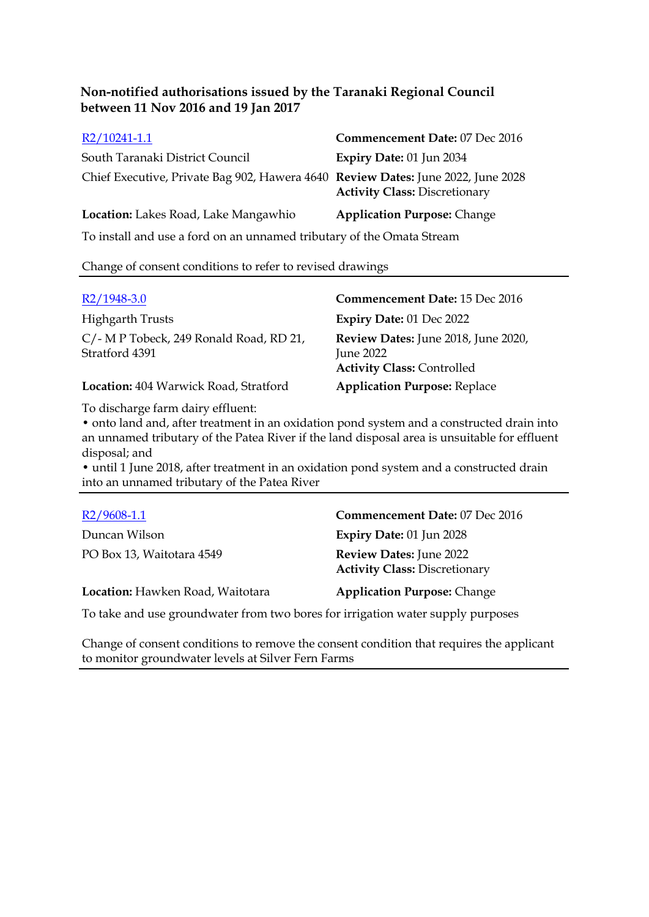| R2/10241-1.1                                                                     | Commencement Date: 07 Dec 2016       |
|----------------------------------------------------------------------------------|--------------------------------------|
| South Taranaki District Council                                                  | Expiry Date: 01 Jun 2034             |
| Chief Executive, Private Bag 902, Hawera 4640 Review Dates: June 2022, June 2028 | <b>Activity Class: Discretionary</b> |
| Location: Lakes Road, Lake Mangawhio                                             | <b>Application Purpose: Change</b>   |
| To install and use a ford on an unnamed tributary of the Omata Stream            |                                      |

Change of consent conditions to refer to revised drawings

| $R2/1948-3.0$                                             | <b>Commencement Date: 15 Dec 2016</b>                                                               |
|-----------------------------------------------------------|-----------------------------------------------------------------------------------------------------|
| <b>Highgarth Trusts</b>                                   | <b>Expiry Date: 01 Dec 2022</b>                                                                     |
| C/- M P Tobeck, 249 Ronald Road, RD 21,<br>Stratford 4391 | <b>Review Dates:</b> June 2018, June 2020,<br><b>June 2022</b><br><b>Activity Class: Controlled</b> |
| Location: 404 Warwick Road, Stratford                     | <b>Application Purpose: Replace</b>                                                                 |

To discharge farm dairy effluent:

• onto land and, after treatment in an oxidation pond system and a constructed drain into an unnamed tributary of the Patea River if the land disposal area is unsuitable for effluent disposal; and

• until 1 June 2018, after treatment in an oxidation pond system and a constructed drain into an unnamed tributary of the Patea River

| $R2/9608-1.1$                                                                   | Commencement Date: 07 Dec 2016                                         |
|---------------------------------------------------------------------------------|------------------------------------------------------------------------|
| Duncan Wilson                                                                   | <b>Expiry Date: 01 Jun 2028</b>                                        |
| PO Box 13, Waitotara 4549                                                       | <b>Review Dates: June 2022</b><br><b>Activity Class: Discretionary</b> |
| Location: Hawken Road, Waitotara                                                | <b>Application Purpose: Change</b>                                     |
| To take and use groundwater from two berge for irrigation water supply purposes |                                                                        |

To take and use groundwater from two bores for irrigation water supply purposes

Change of consent conditions to remove the consent condition that requires the applicant to monitor groundwater levels at Silver Fern Farms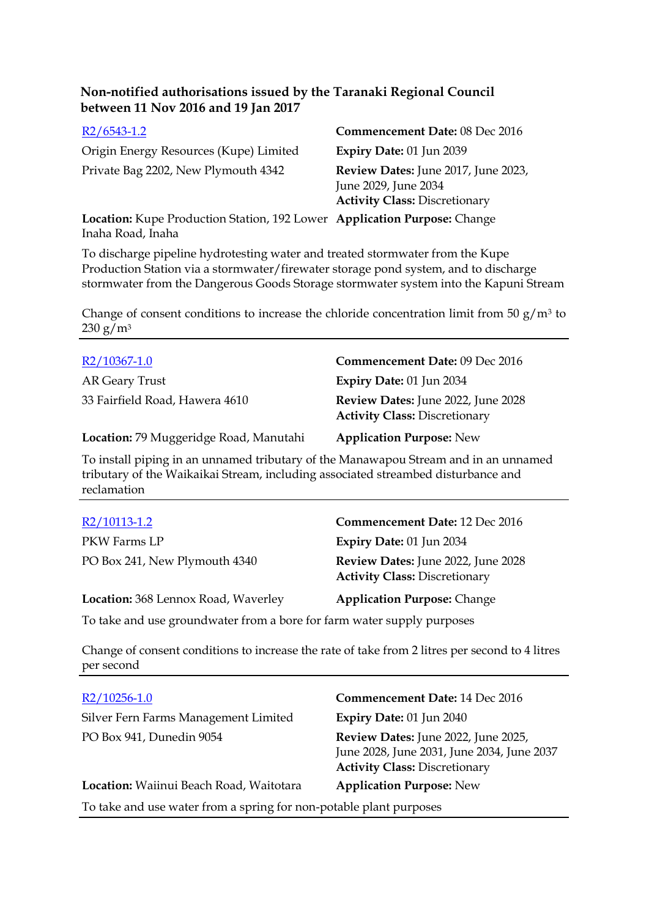| $R2/6543-1.2$                                                            | Commencement Date: 08 Dec 2016                                                                      |
|--------------------------------------------------------------------------|-----------------------------------------------------------------------------------------------------|
| Origin Energy Resources (Kupe) Limited                                   | Expiry Date: 01 Jun 2039                                                                            |
| Private Bag 2202, New Plymouth 4342                                      | Review Dates: June 2017, June 2023,<br>June 2029, June 2034<br><b>Activity Class: Discretionary</b> |
| Location: Kupe Production Station, 192 Lower Application Purpose: Change |                                                                                                     |

Inaha Road, Inaha

To discharge pipeline hydrotesting water and treated stormwater from the Kupe Production Station via a stormwater/firewater storage pond system, and to discharge stormwater from the Dangerous Goods Storage stormwater system into the Kapuni Stream

Change of consent conditions to increase the chloride concentration limit from 50  $g/m^3$  to  $230 g/m^3$ 

| $R2/10367-1.0$                         | Commencement Date: 09 Dec 2016                                                    |
|----------------------------------------|-----------------------------------------------------------------------------------|
| AR Geary Trust                         | <b>Expiry Date: 01 Jun 2034</b>                                                   |
| 33 Fairfield Road, Hawera 4610         | <b>Review Dates:</b> June 2022, June 2028<br><b>Activity Class: Discretionary</b> |
| Location: 79 Muggeridge Road, Manutahi | <b>Application Purpose: New</b>                                                   |

To install piping in an unnamed tributary of the Manawapou Stream and in an unnamed tributary of the Waikaikai Stream, including associated streambed disturbance and reclamation

| R2/10113-1.2                                                           | Commencement Date: 12 Dec 2016                                             |
|------------------------------------------------------------------------|----------------------------------------------------------------------------|
| PKW Farms LP                                                           | <b>Expiry Date: 01 Jun 2034</b>                                            |
| PO Box 241, New Plymouth 4340                                          | Review Dates: June 2022, June 2028<br><b>Activity Class: Discretionary</b> |
| Location: 368 Lennox Road, Waverley                                    | <b>Application Purpose: Change</b>                                         |
| To take and use groundwater from a bore for farm water supply purposes |                                                                            |

Change of consent conditions to increase the rate of take from 2 litres per second to 4 litres per second

| $R2/10256-1.0$                                                     | Commencement Date: 14 Dec 2016                                                                                            |
|--------------------------------------------------------------------|---------------------------------------------------------------------------------------------------------------------------|
| Silver Fern Farms Management Limited                               | Expiry Date: 01 Jun 2040                                                                                                  |
| PO Box 941, Dunedin 9054                                           | Review Dates: June 2022, June 2025,<br>June 2028, June 2031, June 2034, June 2037<br><b>Activity Class: Discretionary</b> |
| Location: Waiinui Beach Road, Waitotara                            | <b>Application Purpose: New</b>                                                                                           |
| To take and use water from a spring for non-potable plant purposes |                                                                                                                           |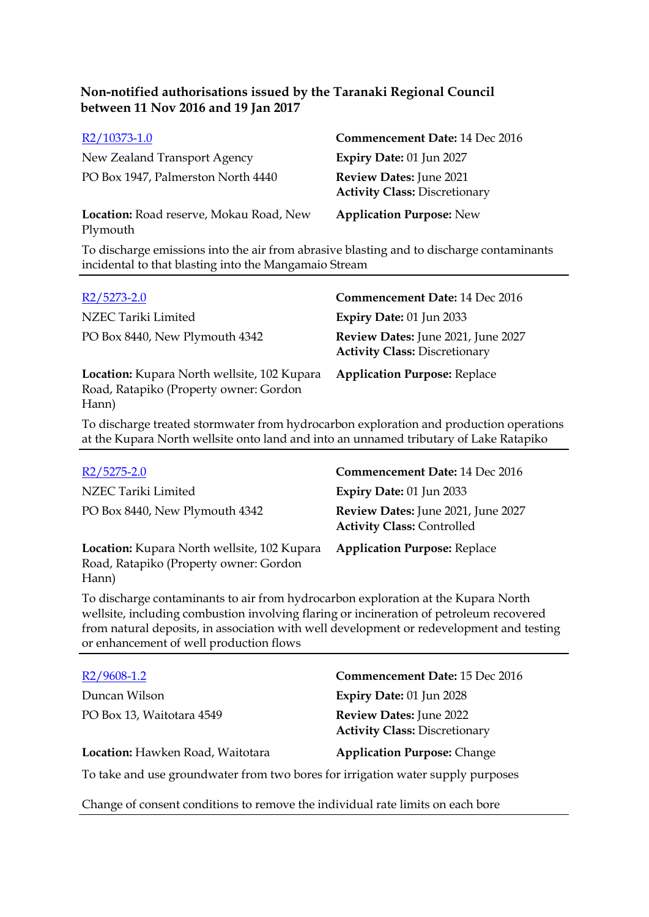| R2/10373-1.0                                        | <b>Commencement Date: 14 Dec 2016</b>                           |
|-----------------------------------------------------|-----------------------------------------------------------------|
| New Zealand Transport Agency                        | <b>Expiry Date: 01 Jun 2027</b>                                 |
| PO Box 1947, Palmerston North 4440                  | Review Dates: June 2021<br><b>Activity Class: Discretionary</b> |
| Location: Road reserve, Mokau Road, New<br>Plymouth | <b>Application Purpose: New</b>                                 |
|                                                     |                                                                 |

To discharge emissions into the air from abrasive blasting and to discharge contaminants incidental to that blasting into the Mangamaio Stream

| R <sub>2</sub> /5273-2.0                                                                       | Commencement Date: 14 Dec 2016                                             |
|------------------------------------------------------------------------------------------------|----------------------------------------------------------------------------|
| NZEC Tariki Limited                                                                            | <b>Expiry Date: 01 Jun 2033</b>                                            |
| PO Box 8440, New Plymouth 4342                                                                 | Review Dates: June 2021, June 2027<br><b>Activity Class: Discretionary</b> |
| Location: Kupara North wellsite, 102 Kupara<br>Road, Ratapiko (Property owner: Gordon<br>Hann) | <b>Application Purpose: Replace</b>                                        |

To discharge treated stormwater from hydrocarbon exploration and production operations at the Kupara North wellsite onto land and into an unnamed tributary of Lake Ratapiko

| $R2/5275-2.0$                                                                                  | Commencement Date: 14 Dec 2016                                          |
|------------------------------------------------------------------------------------------------|-------------------------------------------------------------------------|
| NZEC Tariki Limited                                                                            | Expiry Date: $01$ Jun 2033                                              |
| PO Box 8440, New Plymouth 4342                                                                 | Review Dates: June 2021, June 2027<br><b>Activity Class: Controlled</b> |
| Location: Kupara North wellsite, 102 Kupara<br>Road, Ratapiko (Property owner: Gordon<br>Hann) | <b>Application Purpose: Replace</b>                                     |

To discharge contaminants to air from hydrocarbon exploration at the Kupara North wellsite, including combustion involving flaring or incineration of petroleum recovered from natural deposits, in association with well development or redevelopment and testing or enhancement of well production flows

| $R2/9608-1.2$                                                                   | <b>Commencement Date: 15 Dec 2016</b>                           |
|---------------------------------------------------------------------------------|-----------------------------------------------------------------|
| Duncan Wilson                                                                   | Expiry Date: 01 Jun 2028                                        |
| PO Box 13, Waitotara 4549                                                       | Review Dates: June 2022<br><b>Activity Class: Discretionary</b> |
| Location: Hawken Road, Waitotara                                                | <b>Application Purpose: Change</b>                              |
| To take and use groundwater from two bores for irrigation water supply purposes |                                                                 |

Change of consent conditions to remove the individual rate limits on each bore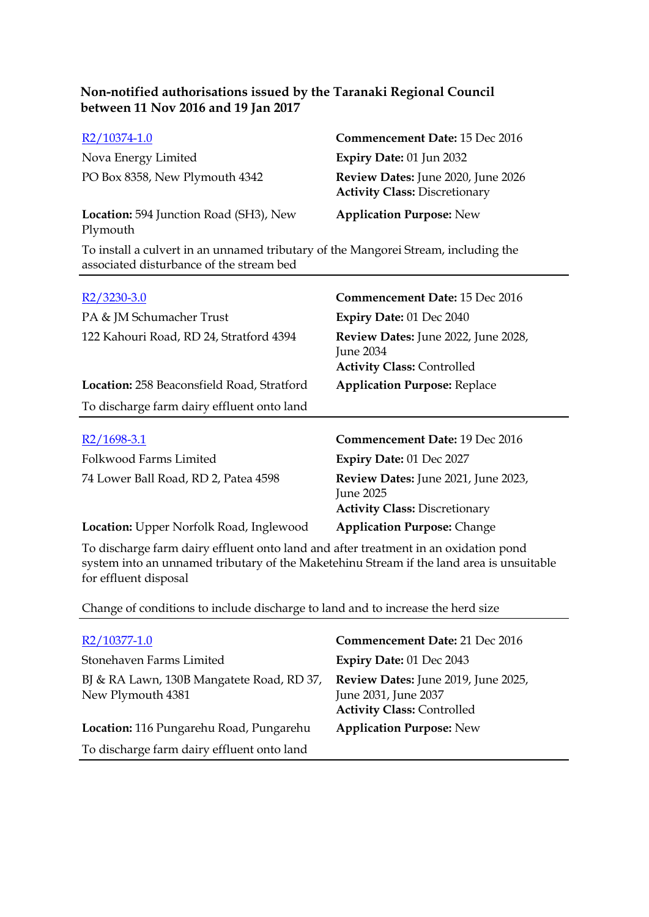| R2/10374-1.0                                                                                                                   | Commencement Date: 15 Dec 2016                                             |
|--------------------------------------------------------------------------------------------------------------------------------|----------------------------------------------------------------------------|
| Nova Energy Limited                                                                                                            | Expiry Date: 01 Jun 2032                                                   |
| PO Box 8358, New Plymouth 4342                                                                                                 | Review Dates: June 2020, June 2026<br><b>Activity Class: Discretionary</b> |
| Location: 594 Junction Road (SH3), New<br>Plymouth                                                                             | <b>Application Purpose: New</b>                                            |
| To install a culvert in an unnamed tributary of the Mangorei Stream, including the<br>associated disturbance of the stream bed |                                                                            |

| R2/3230-3.0                                       | Commencement Date: 15 Dec 2016                                                               |
|---------------------------------------------------|----------------------------------------------------------------------------------------------|
| PA & JM Schumacher Trust                          | <b>Expiry Date: 01 Dec 2040</b>                                                              |
| 122 Kahouri Road, RD 24, Stratford 4394           | <b>Review Dates:</b> June 2022, June 2028,<br>June 2034<br><b>Activity Class: Controlled</b> |
| <b>Location: 258 Beaconsfield Road, Stratford</b> | <b>Application Purpose: Replace</b>                                                          |
| To discharge farm dairy effluent onto land        |                                                                                              |
| $R2/1698-3.1$                                     | <b>Commencement Date: 19 Dec 2016</b>                                                        |
| Folkwood Farms Limited                            | <b>Expiry Date: 01 Dec 2027</b>                                                              |
| 74 Lower Ball Road, RD 2, Patea 4598              | Review Dates: June 2021, June 2023,<br>June 2025<br><b>Activity Class: Discretionary</b>     |

To discharge farm dairy effluent onto land and after treatment in an oxidation pond system into an unnamed tributary of the Maketehinu Stream if the land area is unsuitable for effluent disposal

Change of conditions to include discharge to land and to increase the herd size

**Location:** Upper Norfolk Road, Inglewood **Application Purpose:** Change

| R2/10377-1.0                                                   | Commencement Date: 21 Dec 2016                                                                   |
|----------------------------------------------------------------|--------------------------------------------------------------------------------------------------|
| Stonehaven Farms Limited                                       | Expiry Date: 01 Dec 2043                                                                         |
| BJ & RA Lawn, 130B Mangatete Road, RD 37,<br>New Plymouth 4381 | Review Dates: June 2019, June 2025,<br>June 2031, June 2037<br><b>Activity Class: Controlled</b> |
| Location: 116 Pungarehu Road, Pungarehu                        | <b>Application Purpose: New</b>                                                                  |
| To discharge farm dairy effluent onto land                     |                                                                                                  |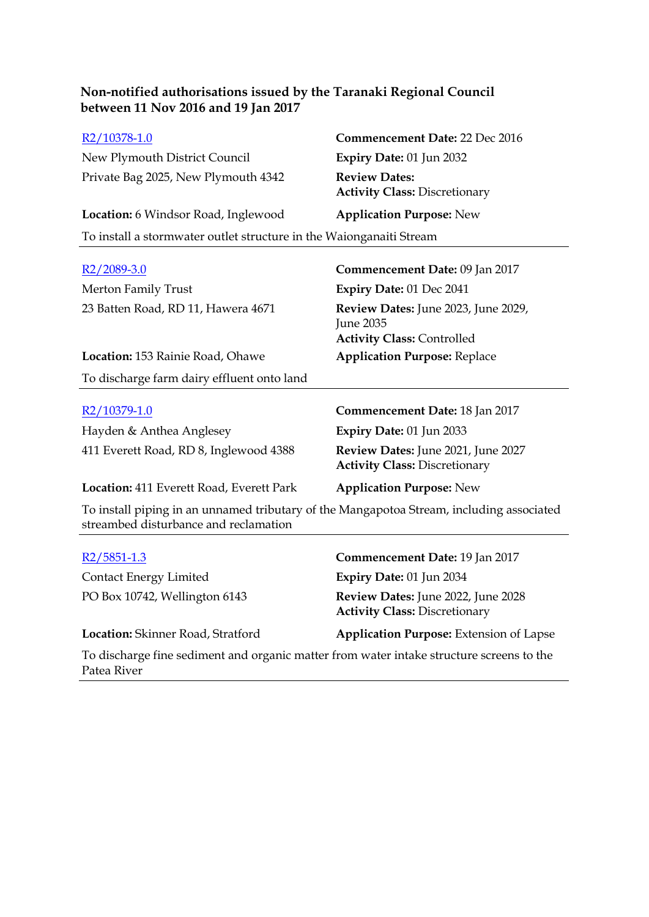| R2/10378-1.0                                                           | Commencement Date: 22 Dec 2016                               |
|------------------------------------------------------------------------|--------------------------------------------------------------|
| New Plymouth District Council                                          | Expiry Date: 01 Jun 2032                                     |
| Private Bag 2025, New Plymouth 4342                                    | <b>Review Dates:</b><br><b>Activity Class: Discretionary</b> |
| Location: 6 Windsor Road, Inglewood<br><b>Application Purpose: New</b> |                                                              |
| To install a stormwater outlet structure in the Waionganaiti Stream    |                                                              |

| $R2/2089-3.0$                              | Commencement Date: 09 Jan 2017                                                        |
|--------------------------------------------|---------------------------------------------------------------------------------------|
| Merton Family Trust                        | <b>Expiry Date: 01 Dec 2041</b>                                                       |
| 23 Batten Road, RD 11, Hawera 4671         | Review Dates: June 2023, June 2029,<br>June 2035<br><b>Activity Class: Controlled</b> |
| <b>Location:</b> 153 Rainie Road, Ohawe    | <b>Application Purpose: Replace</b>                                                   |
| To discharge farm dairy effluent onto land |                                                                                       |
|                                            |                                                                                       |
| R2/10379-1.0                               | Commencement Date: 18 Jan 2017                                                        |
| Hayden & Anthea Anglesey                   | Expiry Date: 01 Jun 2033                                                              |
| 411 Everett Road, RD 8, Inglewood 4388     | Review Dates: June 2021, June 2027<br><b>Activity Class: Discretionary</b>            |
| Location: 411 Everett Road, Everett Park   | <b>Application Purpose: New</b>                                                       |
|                                            |                                                                                       |

To install piping in an unnamed tributary of the Mangapotoa Stream, including associated streambed disturbance and reclamation

| $R2/5851-1.3$                                                                            | Commencement Date: 19 Jan 2017                                             |
|------------------------------------------------------------------------------------------|----------------------------------------------------------------------------|
| <b>Contact Energy Limited</b>                                                            | Expiry Date: 01 Jun 2034                                                   |
| PO Box 10742, Wellington 6143                                                            | Review Dates: June 2022, June 2028<br><b>Activity Class: Discretionary</b> |
| Location: Skinner Road, Stratford                                                        | <b>Application Purpose:</b> Extension of Lapse                             |
| To discharge tipe sediment and examic matter from water into to structure sexeens to the |                                                                            |

To discharge fine sediment and organic matter from water intake structure screens to the Patea River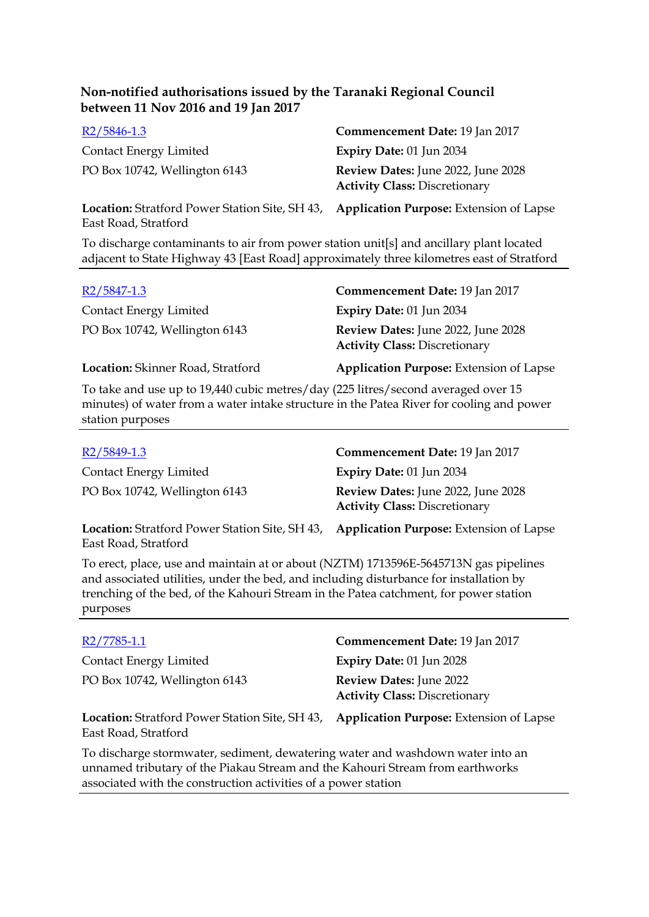| $R2/5846-1.3$                                         | Commencement Date: 19 Jan 2017                                             |
|-------------------------------------------------------|----------------------------------------------------------------------------|
| <b>Contact Energy Limited</b>                         | Expiry Date: 01 Jun 2034                                                   |
| PO Box 10742, Wellington 6143                         | Review Dates: June 2022, June 2028<br><b>Activity Class: Discretionary</b> |
| <b>Location:</b> Stratford Power Station Site, SH 43, | <b>Application Purpose:</b> Extension of Lapse                             |

To discharge contaminants to air from power station unit[s] and ancillary plant located adjacent to State Highway 43 [East Road] approximately three kilometres east of Stratford

| R <sub>2</sub> /5847-1.3          | Commencement Date: 19 Jan 2017                                             |
|-----------------------------------|----------------------------------------------------------------------------|
| Contact Energy Limited            | Expiry Date: 01 Jun 2034                                                   |
| PO Box 10742, Wellington 6143     | Review Dates: June 2022, June 2028<br><b>Activity Class: Discretionary</b> |
| Location: Skinner Road, Stratford | <b>Application Purpose:</b> Extension of Lapse                             |

To take and use up to 19,440 cubic metres/day (225 litres/second averaged over 15 minutes) of water from a water intake structure in the Patea River for cooling and power station purposes

| R <sub>2</sub> /5849-1.3                              | Commencement Date: 19 Jan 2017                                             |
|-------------------------------------------------------|----------------------------------------------------------------------------|
| <b>Contact Energy Limited</b>                         | Expiry Date: 01 Jun 2034                                                   |
| PO Box 10742, Wellington 6143                         | Review Dates: June 2022, June 2028<br><b>Activity Class: Discretionary</b> |
| <b>Location:</b> Stratford Power Station Site, SH 43, | <b>Application Purpose:</b> Extension of Lapse                             |

East Road, Stratford

East Road, Stratford

To erect, place, use and maintain at or about (NZTM) 1713596E-5645713N gas pipelines and associated utilities, under the bed, and including disturbance for installation by trenching of the bed, of the Kahouri Stream in the Patea catchment, for power station purposes

| R2/7785-1.1                                                                   | Commencement Date: 19 Jan 2017                                         |
|-------------------------------------------------------------------------------|------------------------------------------------------------------------|
| <b>Contact Energy Limited</b>                                                 | Expiry Date: 01 Jun 2028                                               |
| PO Box 10742, Wellington 6143                                                 | <b>Review Dates: June 2022</b><br><b>Activity Class: Discretionary</b> |
| <b>Location:</b> Stratford Power Station Site, SH 43,<br>East Road, Stratford | <b>Application Purpose:</b> Extension of Lapse                         |
|                                                                               |                                                                        |

To discharge stormwater, sediment, dewatering water and washdown water into an unnamed tributary of the Piakau Stream and the Kahouri Stream from earthworks associated with the construction activities of a power station